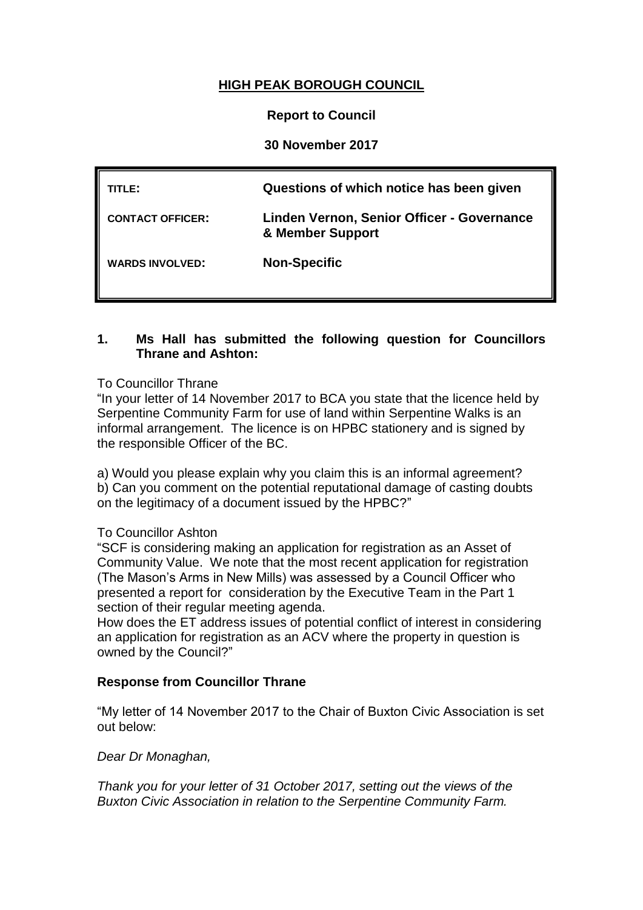# **HIGH PEAK BOROUGH COUNCIL**

### **Report to Council**

## **30 November 2017**

| TITLE:                  | Questions of which notice has been given                       |
|-------------------------|----------------------------------------------------------------|
| <b>CONTACT OFFICER:</b> | Linden Vernon, Senior Officer - Governance<br>& Member Support |
| <b>WARDS INVOLVED:</b>  | <b>Non-Specific</b>                                            |

### **1. Ms Hall has submitted the following question for Councillors Thrane and Ashton:**

### To Councillor Thrane

"In your letter of 14 November 2017 to BCA you state that the licence held by Serpentine Community Farm for use of land within Serpentine Walks is an informal arrangement. The licence is on HPBC stationery and is signed by the responsible Officer of the BC.

a) Would you please explain why you claim this is an informal agreement? b) Can you comment on the potential reputational damage of casting doubts on the legitimacy of a document issued by the HPBC?"

### To Councillor Ashton

"SCF is considering making an application for registration as an Asset of Community Value. We note that the most recent application for registration (The Mason's Arms in New Mills) was assessed by a Council Officer who presented a report for consideration by the Executive Team in the Part 1 section of their regular meeting agenda.

How does the ET address issues of potential conflict of interest in considering an application for registration as an ACV where the property in question is owned by the Council?"

### **Response from Councillor Thrane**

"My letter of 14 November 2017 to the Chair of Buxton Civic Association is set out below:

### *Dear Dr Monaghan,*

*Thank you for your letter of 31 October 2017, setting out the views of the Buxton Civic Association in relation to the Serpentine Community Farm.*